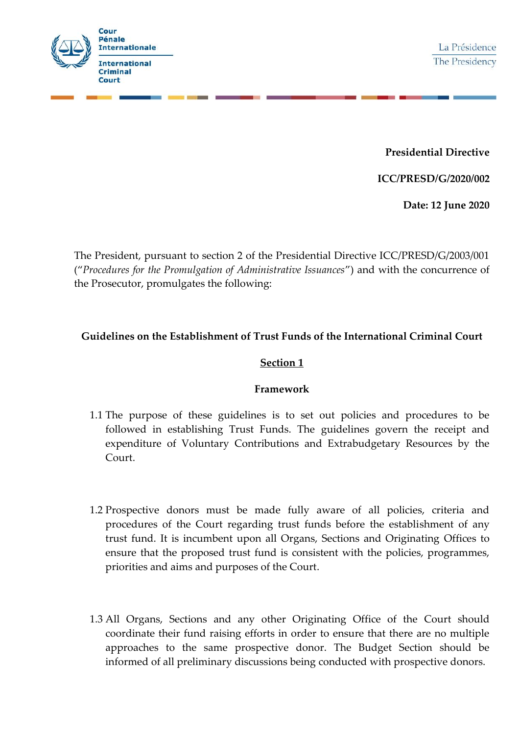

**Presidential Directive**

**ICC/PRESD/G/2020/002**

**Date: 12 June 2020**

The President, pursuant to section 2 of the Presidential Directive ICC/PRESD/G/2003/001 ("*Procedures for the Promulgation of Administrative Issuances*") and with the concurrence of the Prosecutor, promulgates the following:

# **Guidelines on the Establishment of Trust Funds of the International Criminal Court**

#### **Section 1**

#### **Framework**

- 1.1 The purpose of these guidelines is to set out policies and procedures to be followed in establishing Trust Funds. The guidelines govern the receipt and expenditure of Voluntary Contributions and Extrabudgetary Resources by the Court.
- 1.2 Prospective donors must be made fully aware of all policies, criteria and procedures of the Court regarding trust funds before the establishment of any trust fund. It is incumbent upon all Organs, Sections and Originating Offices to ensure that the proposed trust fund is consistent with the policies, programmes, priorities and aims and purposes of the Court.
- 1.3 All Organs, Sections and any other Originating Office of the Court should coordinate their fund raising efforts in order to ensure that there are no multiple approaches to the same prospective donor. The Budget Section should be informed of all preliminary discussions being conducted with prospective donors.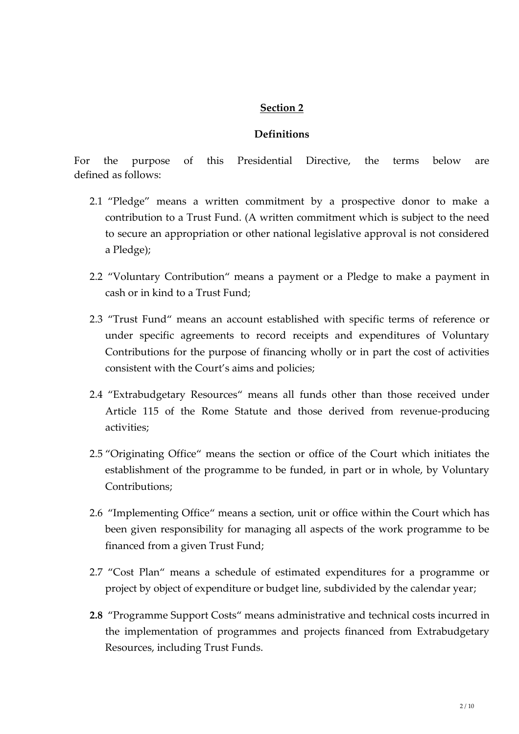#### **Definitions**

For the purpose of this Presidential Directive, the terms below are defined as follows:

- 2.1 "Pledge" means a written commitment by a prospective donor to make a contribution to a Trust Fund. (A written commitment which is subject to the need to secure an appropriation or other national legislative approval is not considered a Pledge);
- 2.2 "Voluntary Contribution" means a payment or a Pledge to make a payment in cash or in kind to a Trust Fund;
- 2.3 "Trust Fund" means an account established with specific terms of reference or under specific agreements to record receipts and expenditures of Voluntary Contributions for the purpose of financing wholly or in part the cost of activities consistent with the Court's aims and policies;
- 2.4 "Extrabudgetary Resources" means all funds other than those received under Article 115 of the Rome Statute and those derived from revenue-producing activities;
- 2.5 "Originating Office" means the section or office of the Court which initiates the establishment of the programme to be funded, in part or in whole, by Voluntary Contributions;
- 2.6 "Implementing Office" means a section, unit or office within the Court which has been given responsibility for managing all aspects of the work programme to be financed from a given Trust Fund;
- 2.7 "Cost Plan" means a schedule of estimated expenditures for a programme or project by object of expenditure or budget line, subdivided by the calendar year;
- **2.8** "Programme Support Costs" means administrative and technical costs incurred in the implementation of programmes and projects financed from Extrabudgetary Resources, including Trust Funds.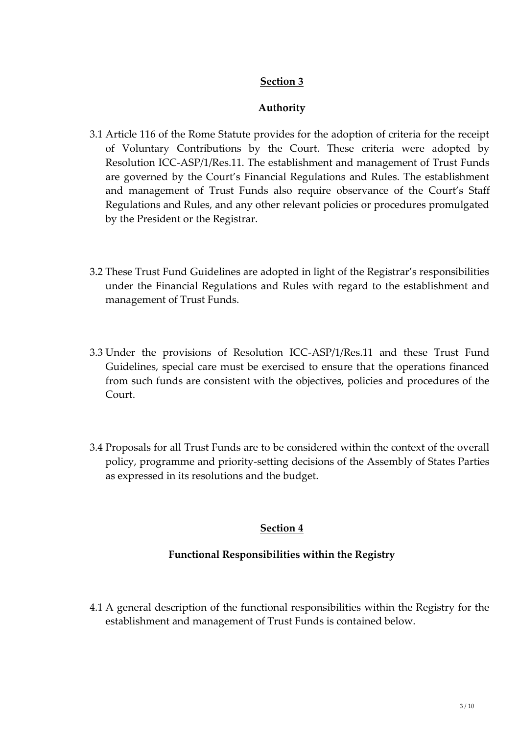### **Authority**

- 3.1 Article 116 of the Rome Statute provides for the adoption of criteria for the receipt of Voluntary Contributions by the Court. These criteria were adopted by Resolution ICC-ASP/1/Res.11. The establishment and management of Trust Funds are governed by the Court's Financial Regulations and Rules. The establishment and management of Trust Funds also require observance of the Court's Staff Regulations and Rules, and any other relevant policies or procedures promulgated by the President or the Registrar.
- 3.2 These Trust Fund Guidelines are adopted in light of the Registrar's responsibilities under the Financial Regulations and Rules with regard to the establishment and management of Trust Funds.
- 3.3 Under the provisions of Resolution ICC-ASP/1/Res.11 and these Trust Fund Guidelines, special care must be exercised to ensure that the operations financed from such funds are consistent with the objectives, policies and procedures of the Court.
- 3.4 Proposals for all Trust Funds are to be considered within the context of the overall policy, programme and priority-setting decisions of the Assembly of States Parties as expressed in its resolutions and the budget.

## **Section 4**

## **Functional Responsibilities within the Registry**

4.1 A general description of the functional responsibilities within the Registry for the establishment and management of Trust Funds is contained below.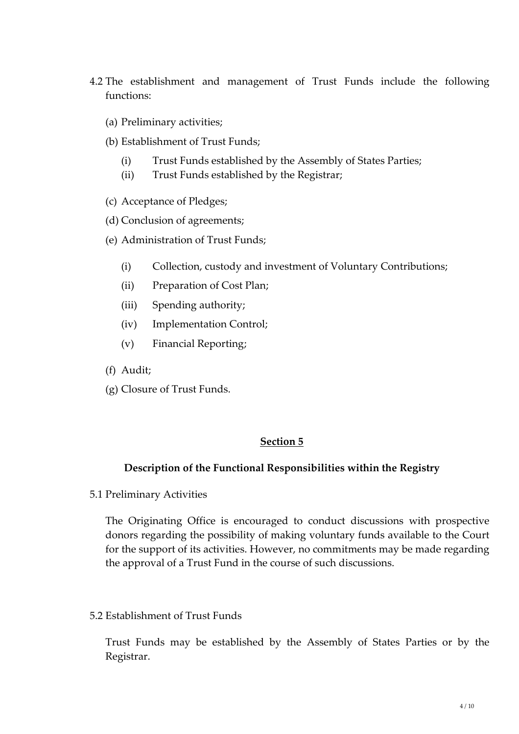- 4.2 The establishment and management of Trust Funds include the following functions:
	- (a) Preliminary activities;
	- (b) Establishment of Trust Funds;
		- (i) Trust Funds established by the Assembly of States Parties;
		- (ii) Trust Funds established by the Registrar;
	- (c) Acceptance of Pledges;
	- (d) Conclusion of agreements;
	- (e) Administration of Trust Funds;
		- (i) Collection, custody and investment of Voluntary Contributions;
		- (ii) Preparation of Cost Plan;
		- (iii) Spending authority;
		- (iv) Implementation Control;
		- (v) Financial Reporting;
	- (f) Audit;
	- (g) Closure of Trust Funds.

#### **Description of the Functional Responsibilities within the Registry**

5.1 Preliminary Activities

The Originating Office is encouraged to conduct discussions with prospective donors regarding the possibility of making voluntary funds available to the Court for the support of its activities. However, no commitments may be made regarding the approval of a Trust Fund in the course of such discussions.

5.2 Establishment of Trust Funds

Trust Funds may be established by the Assembly of States Parties or by the Registrar.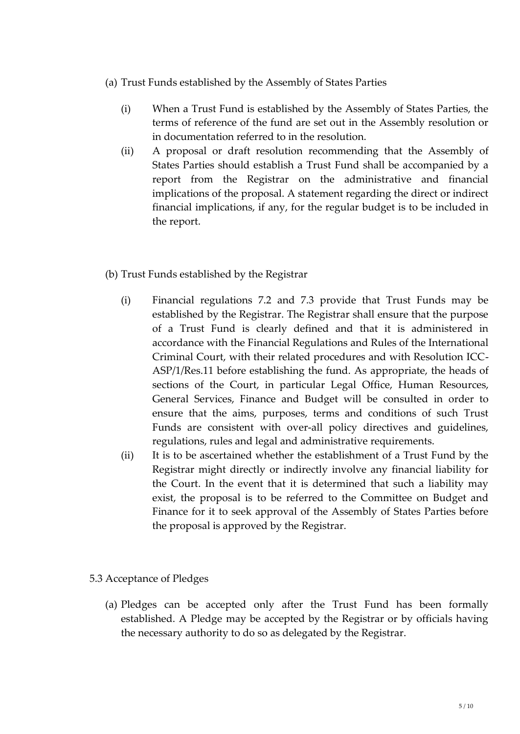- (a) Trust Funds established by the Assembly of States Parties
	- (i) When a Trust Fund is established by the Assembly of States Parties, the terms of reference of the fund are set out in the Assembly resolution or in documentation referred to in the resolution.
	- (ii) A proposal or draft resolution recommending that the Assembly of States Parties should establish a Trust Fund shall be accompanied by a report from the Registrar on the administrative and financial implications of the proposal. A statement regarding the direct or indirect financial implications, if any, for the regular budget is to be included in the report.
- (b) Trust Funds established by the Registrar
	- (i) Financial regulations 7.2 and 7.3 provide that Trust Funds may be established by the Registrar. The Registrar shall ensure that the purpose of a Trust Fund is clearly defined and that it is administered in accordance with the Financial Regulations and Rules of the International Criminal Court, with their related procedures and with Resolution ICC- ASP/1/Res.11 before establishing the fund. As appropriate, the heads of sections of the Court, in particular Legal Office, Human Resources, General Services, Finance and Budget will be consulted in order to ensure that the aims, purposes, terms and conditions of such Trust Funds are consistent with over-all policy directives and guidelines, regulations, rules and legal and administrative requirements.
	- (ii) It is to be ascertained whether the establishment of a Trust Fund by the Registrar might directly or indirectly involve any financial liability for the Court. In the event that it is determined that such a liability may exist, the proposal is to be referred to the Committee on Budget and Finance for it to seek approval of the Assembly of States Parties before the proposal is approved by the Registrar.

## 5.3 Acceptance of Pledges

(a) Pledges can be accepted only after the Trust Fund has been formally established. A Pledge may be accepted by the Registrar or by officials having the necessary authority to do so as delegated by the Registrar.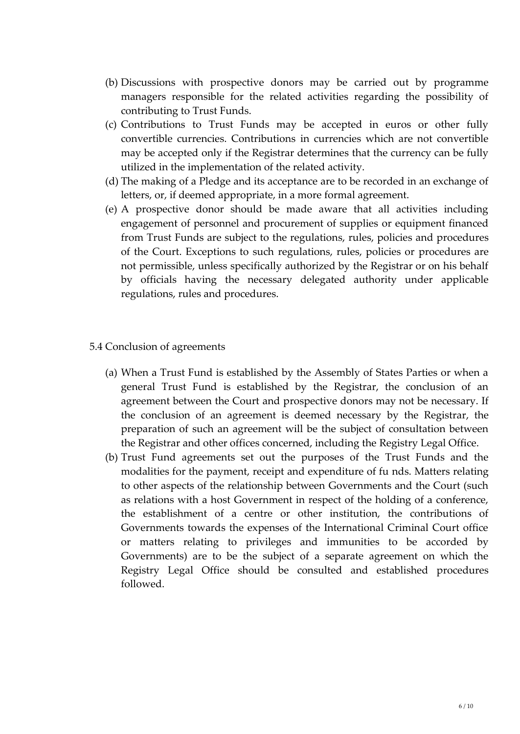- (b) Discussions with prospective donors may be carried out by programme managers responsible for the related activities regarding the possibility of contributing to Trust Funds.
- (c) Contributions to Trust Funds may be accepted in euros or other fully convertible currencies. Contributions in currencies which are not convertible may be accepted only if the Registrar determines that the currency can be fully utilized in the implementation of the related activity.
- (d) The making of a Pledge and its acceptance are to be recorded in an exchange of letters, or, if deemed appropriate, in a more formal agreement.
- (e) A prospective donor should be made aware that all activities including engagement of personnel and procurement of supplies or equipment financed from Trust Funds are subject to the regulations, rules, policies and procedures of the Court. Exceptions to such regulations, rules, policies or procedures are not permissible, unless specifically authorized by the Registrar or on his behalf by officials having the necessary delegated authority under applicable regulations, rules and procedures.
- 5.4 Conclusion of agreements
	- (a) When a Trust Fund is established by the Assembly of States Parties or when a general Trust Fund is established by the Registrar, the conclusion of an agreement between the Court and prospective donors may not be necessary. If the conclusion of an agreement is deemed necessary by the Registrar, the preparation of such an agreement will be the subject of consultation between the Registrar and other offices concerned, including the Registry Legal Office.
	- (b) Trust Fund agreements set out the purposes of the Trust Funds and the modalities for the payment, receipt and expenditure of fu nds. Matters relating to other aspects of the relationship between Governments and the Court (such as relations with a host Government in respect of the holding of a conference, the establishment of a centre or other institution, the contributions of Governments towards the expenses of the International Criminal Court office or matters relating to privileges and immunities to be accorded by Governments) are to be the subject of a separate agreement on which the Registry Legal Office should be consulted and established procedures followed.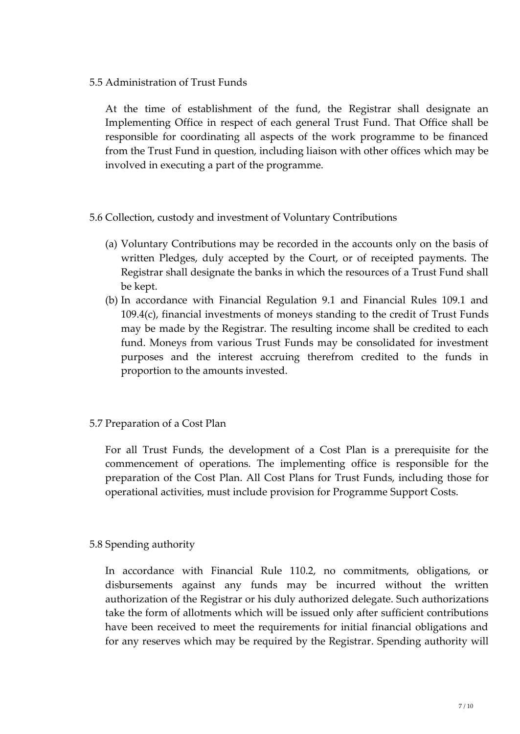5.5 Administration of Trust Funds

At the time of establishment of the fund, the Registrar shall designate an Implementing Office in respect of each general Trust Fund. That Office shall be responsible for coordinating all aspects of the work programme to be financed from the Trust Fund in question, including liaison with other offices which may be involved in executing a part of the programme.

- 5.6 Collection, custody and investment of Voluntary Contributions
	- (a) Voluntary Contributions may be recorded in the accounts only on the basis of written Pledges, duly accepted by the Court, or of receipted payments. The Registrar shall designate the banks in which the resources of a Trust Fund shall be kept.
	- (b) In accordance with Financial Regulation 9.1 and Financial Rules 109.1 and 109.4(c), financial investments of moneys standing to the credit of Trust Funds may be made by the Registrar. The resulting income shall be credited to each fund. Moneys from various Trust Funds may be consolidated for investment purposes and the interest accruing therefrom credited to the funds in proportion to the amounts invested.
- 5.7 Preparation of a Cost Plan

For all Trust Funds, the development of a Cost Plan is a prerequisite for the commencement of operations. The implementing office is responsible for the preparation of the Cost Plan. All Cost Plans for Trust Funds, including those for operational activities, must include provision for Programme Support Costs.

## 5.8 Spending authority

In accordance with Financial Rule 110.2, no commitments, obligations, or disbursements against any funds may be incurred without the written authorization of the Registrar or his duly authorized delegate. Such authorizations take the form of allotments which will be issued only after sufficient contributions have been received to meet the requirements for initial financial obligations and for any reserves which may be required by the Registrar. Spending authority will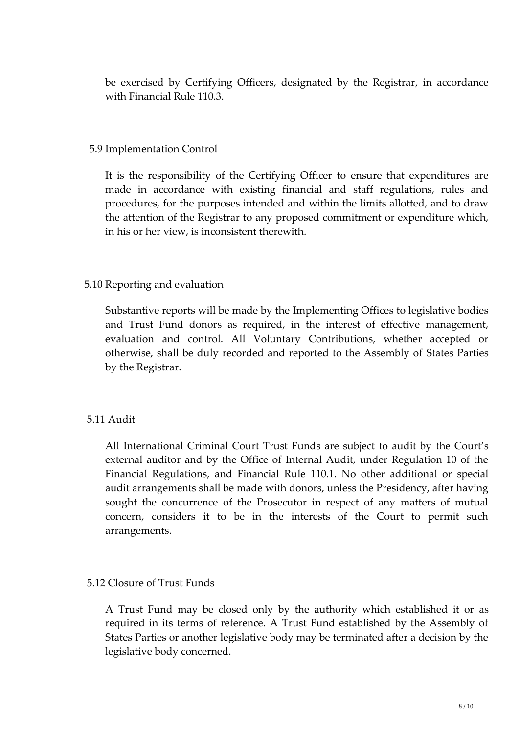be exercised by Certifying Officers, designated by the Registrar, in accordance with Financial Rule 110.3.

### 5.9 Implementation Control

It is the responsibility of the Certifying Officer to ensure that expenditures are made in accordance with existing financial and staff regulations, rules and procedures, for the purposes intended and within the limits allotted, and to draw the attention of the Registrar to any proposed commitment or expenditure which, in his or her view, is inconsistent therewith.

### 5.10 Reporting and evaluation

Substantive reports will be made by the Implementing Offices to legislative bodies and Trust Fund donors as required, in the interest of effective management, evaluation and control. All Voluntary Contributions, whether accepted or otherwise, shall be duly recorded and reported to the Assembly of States Parties by the Registrar.

## 5.11 Audit

All International Criminal Court Trust Funds are subject to audit by the Court's external auditor and by the Office of Internal Audit, under Regulation 10 of the Financial Regulations, and Financial Rule 110.1. No other additional or special audit arrangements shall be made with donors, unless the Presidency, after having sought the concurrence of the Prosecutor in respect of any matters of mutual concern, considers it to be in the interests of the Court to permit such arrangements.

## 5.12 Closure of Trust Funds

A Trust Fund may be closed only by the authority which established it or as required in its terms of reference. A Trust Fund established by the Assembly of States Parties or another legislative body may be terminated after a decision by the legislative body concerned.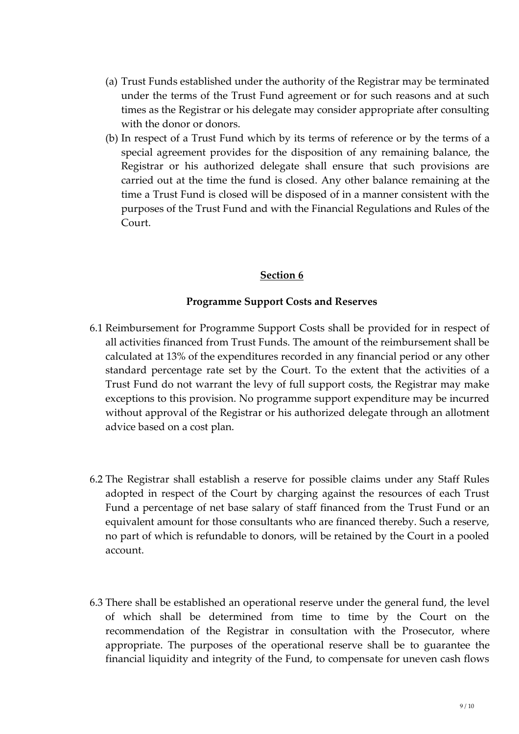- (a) Trust Funds established under the authority of the Registrar may be terminated under the terms of the Trust Fund agreement or for such reasons and at such times as the Registrar or his delegate may consider appropriate after consulting with the donor or donors.
- (b) In respect of a Trust Fund which by its terms of reference or by the terms of a special agreement provides for the disposition of any remaining balance, the Registrar or his authorized delegate shall ensure that such provisions are carried out at the time the fund is closed. Any other balance remaining at the time a Trust Fund is closed will be disposed of in a manner consistent with the purposes of the Trust Fund and with the Financial Regulations and Rules of the Court.

#### **Programme Support Costs and Reserves**

- 6.1 Reimbursement for Programme Support Costs shall be provided for in respect of all activities financed from Trust Funds. The amount of the reimbursement shall be calculated at 13% of the expenditures recorded in any financial period or any other standard percentage rate set by the Court. To the extent that the activities of a Trust Fund do not warrant the levy of full support costs, the Registrar may make exceptions to this provision. No programme support expenditure may be incurred without approval of the Registrar or his authorized delegate through an allotment advice based on a cost plan.
- 6.2 The Registrar shall establish a reserve for possible claims under any Staff Rules adopted in respect of the Court by charging against the resources of each Trust Fund a percentage of net base salary of staff financed from the Trust Fund or an equivalent amount for those consultants who are financed thereby. Such a reserve, no part of which is refundable to donors, will be retained by the Court in a pooled account.
- 6.3 There shall be established an operational reserve under the general fund, the level of which shall be determined from time to time by the Court on the recommendation of the Registrar in consultation with the Prosecutor, where appropriate. The purposes of the operational reserve shall be to guarantee the financial liquidity and integrity of the Fund, to compensate for uneven cash flows